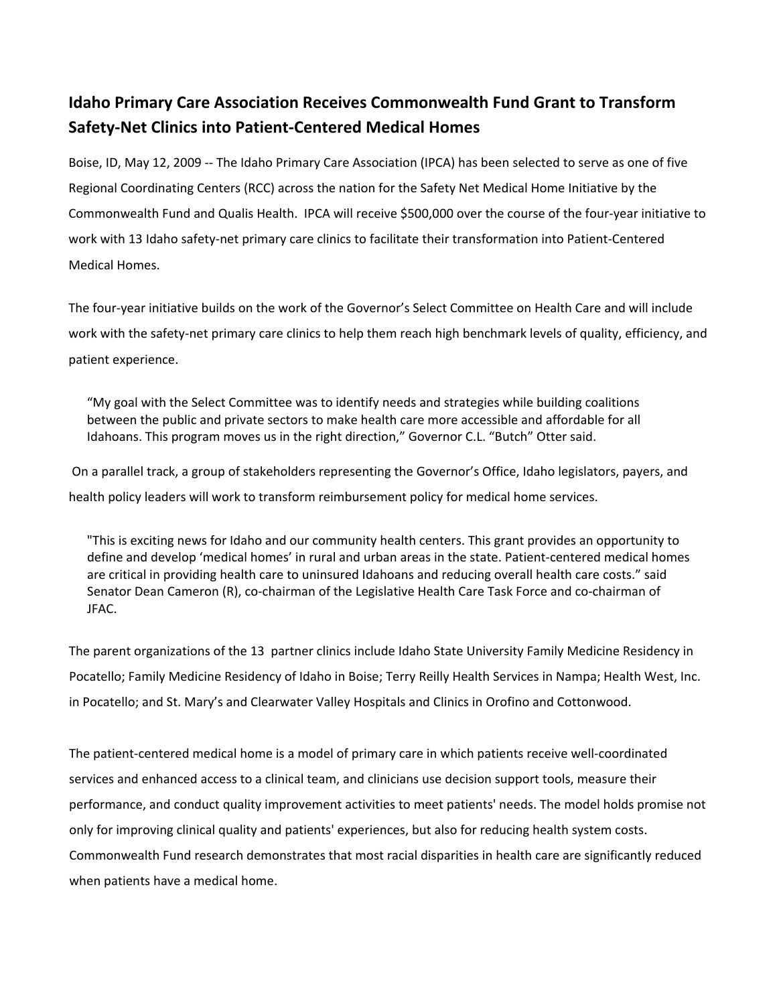## **Idaho Primary Care Association Receives Commonwealth Fund Grant to Transform Safety‐Net Clinics into Patient‐Centered Medical Homes**

Boise, ID, May 12, 2009 ‐‐ The Idaho Primary Care Association (IPCA) has been selected to serve as one of five Regional Coordinating Centers (RCC) across the nation for the Safety Net Medical Home Initiative by the Commonwealth Fund and Qualis Health. IPCA will receive \$500,000 over the course of the four‐year initiative to work with 13 Idaho safety‐net primary care clinics to facilitate their transformation into Patient‐Centered Medical Homes.

The four‐year initiative builds on the work of the Governor's Select Committee on Health Care and will include work with the safety-net primary care clinics to help them reach high benchmark levels of quality, efficiency, and patient experience.

"My goal with the Select Committee was to identify needs and strategies while building coalitions between the public and private sectors to make health care more accessible and affordable for all Idahoans. This program moves us in the right direction," Governor C.L. "Butch" Otter said.

On a parallel track, a group of stakeholders representing the Governor's Office, Idaho legislators, payers, and health policy leaders will work to transform reimbursement policy for medical home services.

"This is exciting news for Idaho and our community health centers. This grant provides an opportunity to define and develop 'medical homes' in rural and urban areas in the state. Patient‐centered medical homes are critical in providing health care to uninsured Idahoans and reducing overall health care costs." said Senator Dean Cameron (R), co-chairman of the Legislative Health Care Task Force and co-chairman of JFAC.

The parent organizations of the 13 partner clinics include Idaho State University Family Medicine Residency in Pocatello; Family Medicine Residency of Idaho in Boise; Terry Reilly Health Services in Nampa; Health West, Inc. in Pocatello; and St. Mary's and Clearwater Valley Hospitals and Clinics in Orofino and Cottonwood.

The patient-centered medical home is a model of primary care in which patients receive well-coordinated services and enhanced access to a clinical team, and clinicians use decision support tools, measure their performance, and conduct quality improvement activities to meet patients' needs. The model holds promise not only for improving clinical quality and patients' experiences, but also for reducing health system costs. Commonwealth Fund research demonstrates that most racial disparities in health care are significantly reduced when patients have a medical home.